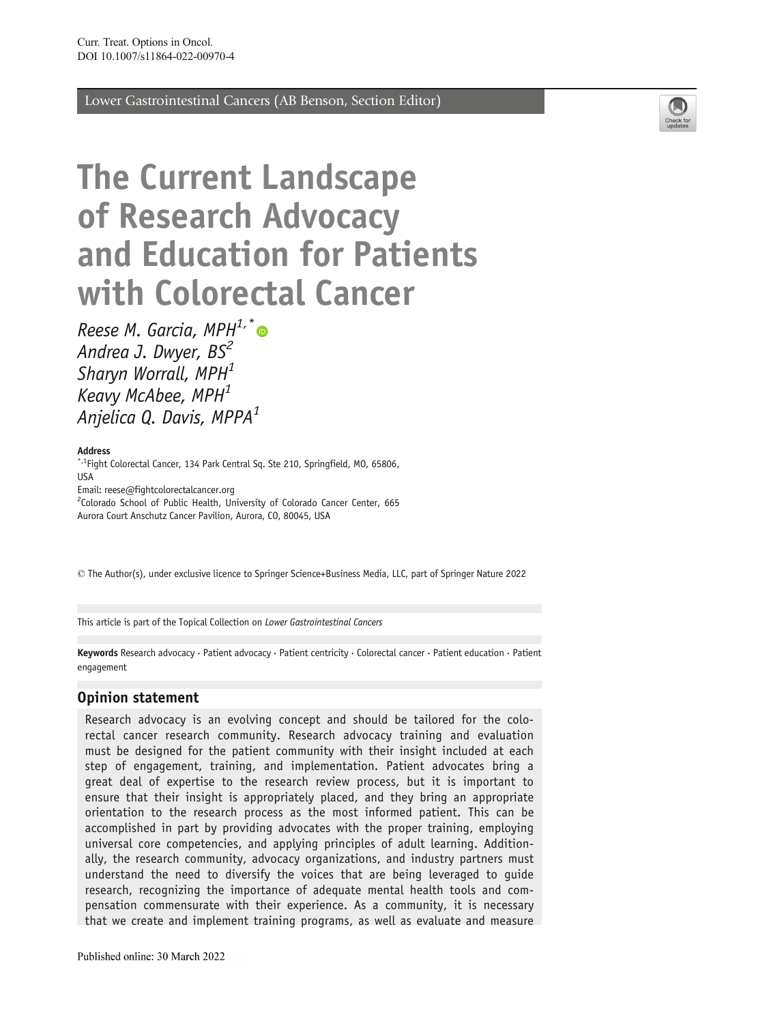Lower Gastrointestinal Cancers (AB Benson, Section Editor)



# The Current Landscape of Research Advocacy and Education for Patients with Colorectal Cancer

Reese M. Garcia, MPH $1, *$ Andrea J. Dwyer, BS<sup>2</sup> Sharyn Worrall,  $MPH<sup>1</sup>$ Keavy McAbee, MPH<sup>1</sup> Anjelica Q. Davis, MPPA<sup>1</sup>

#### Address

\*<sup>,1</sup>Fight Colorectal Cancer, 134 Park Central Sg. Ste 210, Springfield, MO, 65806, USA Email: reese@fightcolorectalcancer.org <sup>2</sup>Colorado School of Public Health, University of Colorado Cancer Center, 665 Aurora Court Anschutz Cancer Pavilion, Aurora, CO, 80045, USA

\* The Author(s), under exclusive licence to Springer Science+Business Media, LLC, part of Springer Nature 2022

This article is part of the Topical Collection on Lower Gastrointestinal Cancers

Keywords Research advocacy · Patient advocacy · Patient centricity · Colorectal cancer · Patient education · Patient engagement

#### Opinion statement

Research advocacy is an evolving concept and should be tailored for the colorectal cancer research community. Research advocacy training and evaluation must be designed for the patient community with their insight included at each step of engagement, training, and implementation. Patient advocates bring a great deal of expertise to the research review process, but it is important to ensure that their insight is appropriately placed, and they bring an appropriate orientation to the research process as the most informed patient. This can be accomplished in part by providing advocates with the proper training, employing universal core competencies, and applying principles of adult learning. Additionally, the research community, advocacy organizations, and industry partners must understand the need to diversify the voices that are being leveraged to guide research, recognizing the importance of adequate mental health tools and compensation commensurate with their experience. As a community, it is necessary that we create and implement training programs, as well as evaluate and measure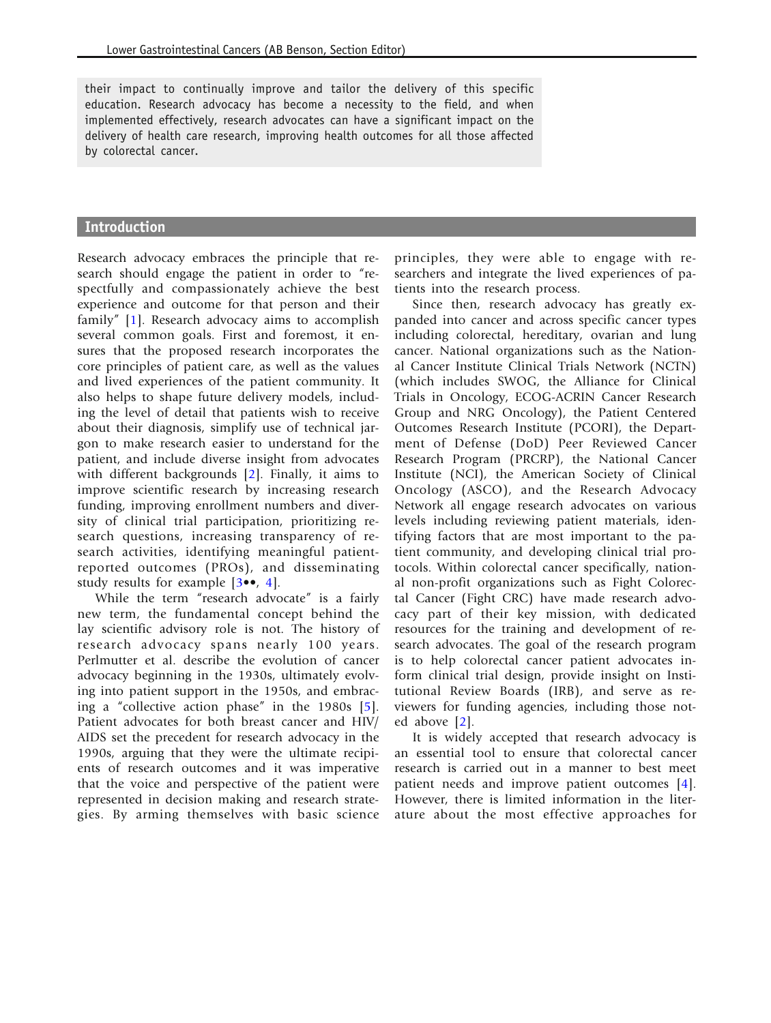their impact to continually improve and tailor the delivery of this specific education. Research advocacy has become a necessity to the field, and when implemented effectively, research advocates can have a significant impact on the delivery of health care research, improving health outcomes for all those affected by colorectal cancer.

#### Introduction

Research advocacy embraces the principle that research should engage the patient in order to "respectfully and compassionately achieve the best experience and outcome for that person and their family" [\[1](#page-10-0)]. Research advocacy aims to accomplish several common goals. First and foremost, it ensures that the proposed research incorporates the core principles of patient care, as well as the values and lived experiences of the patient community. It also helps to shape future delivery models, including the level of detail that patients wish to receive about their diagnosis, simplify use of technical jargon to make research easier to understand for the patient, and include diverse insight from advocates with different backgrounds [[2](#page-10-0)]. Finally, it aims to improve scientific research by increasing research funding, improving enrollment numbers and diversity of clinical trial participation, prioritizing research questions, increasing transparency of research activities, identifying meaningful patientreported outcomes (PROs), and disseminating study results for example [\[3](#page-10-0)••, [4\]](#page-11-0).

While the term "research advocate" is a fairly new term, the fundamental concept behind the lay scientific advisory role is not. The history of research advocacy spans nearly 100 years. Perlmutter et al. describe the evolution of cancer advocacy beginning in the 1930s, ultimately evolving into patient support in the 1950s, and embracing a "collective action phase" in the 1980s [\[5\]](#page-11-0). Patient advocates for both breast cancer and HIV/ AIDS set the precedent for research advocacy in the 1990s, arguing that they were the ultimate recipients of research outcomes and it was imperative that the voice and perspective of the patient were represented in decision making and research strategies. By arming themselves with basic science

principles, they were able to engage with researchers and integrate the lived experiences of patients into the research process.

Since then, research advocacy has greatly expanded into cancer and across specific cancer types including colorectal, hereditary, ovarian and lung cancer. National organizations such as the National Cancer Institute Clinical Trials Network (NCTN) (which includes SWOG, the Alliance for Clinical Trials in Oncology, ECOG-ACRIN Cancer Research Group and NRG Oncology), the Patient Centered Outcomes Research Institute (PCORI), the Department of Defense (DoD) Peer Reviewed Cancer Research Program (PRCRP), the National Cancer Institute (NCI), the American Society of Clinical Oncology (ASCO), and the Research Advocacy Network all engage research advocates on various levels including reviewing patient materials, identifying factors that are most important to the patient community, and developing clinical trial protocols. Within colorectal cancer specifically, national non-profit organizations such as Fight Colorectal Cancer (Fight CRC) have made research advocacy part of their key mission, with dedicated resources for the training and development of research advocates. The goal of the research program is to help colorectal cancer patient advocates inform clinical trial design, provide insight on Institutional Review Boards (IRB), and serve as reviewers for funding agencies, including those noted above [[2\]](#page-10-0).

It is widely accepted that research advocacy is an essential tool to ensure that colorectal cancer research is carried out in a manner to best meet patient needs and improve patient outcomes [\[4\]](#page-11-0). However, there is limited information in the literature about the most effective approaches for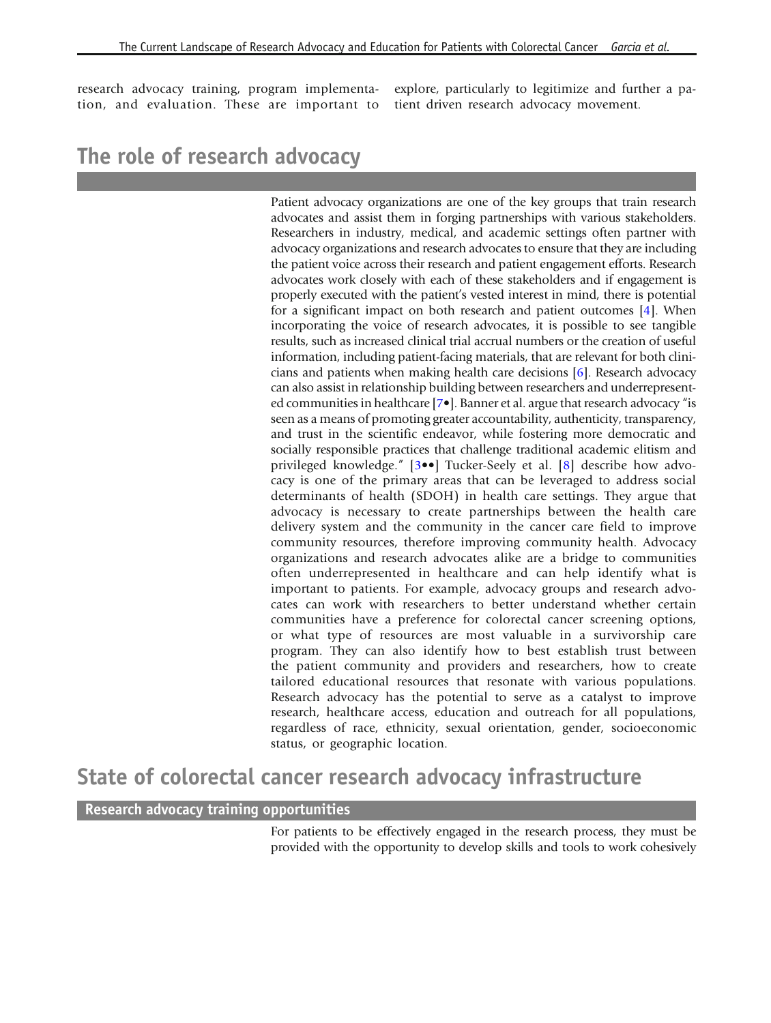research advocacy training, program implementation, and evaluation. These are important to

explore, particularly to legitimize and further a patient driven research advocacy movement.

# The role of research advocacy

Patient advocacy organizations are one of the key groups that train research advocates and assist them in forging partnerships with various stakeholders. Researchers in industry, medical, and academic settings often partner with advocacy organizations and research advocates to ensure that they are including the patient voice across their research and patient engagement efforts. Research advocates work closely with each of these stakeholders and if engagement is properly executed with the patient's vested interest in mind, there is potential for a significant impact on both research and patient outcomes [\[4\]](#page-11-0). When incorporating the voice of research advocates, it is possible to see tangible results, such as increased clinical trial accrual numbers or the creation of useful information, including patient-facing materials, that are relevant for both clinicians and patients when making health care decisions [[6\]](#page-11-0). Research advocacy can also assist in relationship building between researchers and underrepresented communities in healthcare [\[7](#page-11-0)•]. Banner et al. argue that research advocacy "is seen as a means of promoting greater accountability, authenticity, transparency, and trust in the scientific endeavor, while fostering more democratic and socially responsible practices that challenge traditional academic elitism and privileged knowledge." [\[3](#page-10-0)••] Tucker-Seely et al. [[8\]](#page-11-0) describe how advocacy is one of the primary areas that can be leveraged to address social determinants of health (SDOH) in health care settings. They argue that advocacy is necessary to create partnerships between the health care delivery system and the community in the cancer care field to improve community resources, therefore improving community health. Advocacy organizations and research advocates alike are a bridge to communities often underrepresented in healthcare and can help identify what is important to patients. For example, advocacy groups and research advocates can work with researchers to better understand whether certain communities have a preference for colorectal cancer screening options, or what type of resources are most valuable in a survivorship care program. They can also identify how to best establish trust between the patient community and providers and researchers, how to create tailored educational resources that resonate with various populations. Research advocacy has the potential to serve as a catalyst to improve research, healthcare access, education and outreach for all populations, regardless of race, ethnicity, sexual orientation, gender, socioeconomic status, or geographic location.

### State of colorectal cancer research advocacy infrastructure

#### Research advocacy training opportunities

For patients to be effectively engaged in the research process, they must be provided with the opportunity to develop skills and tools to work cohesively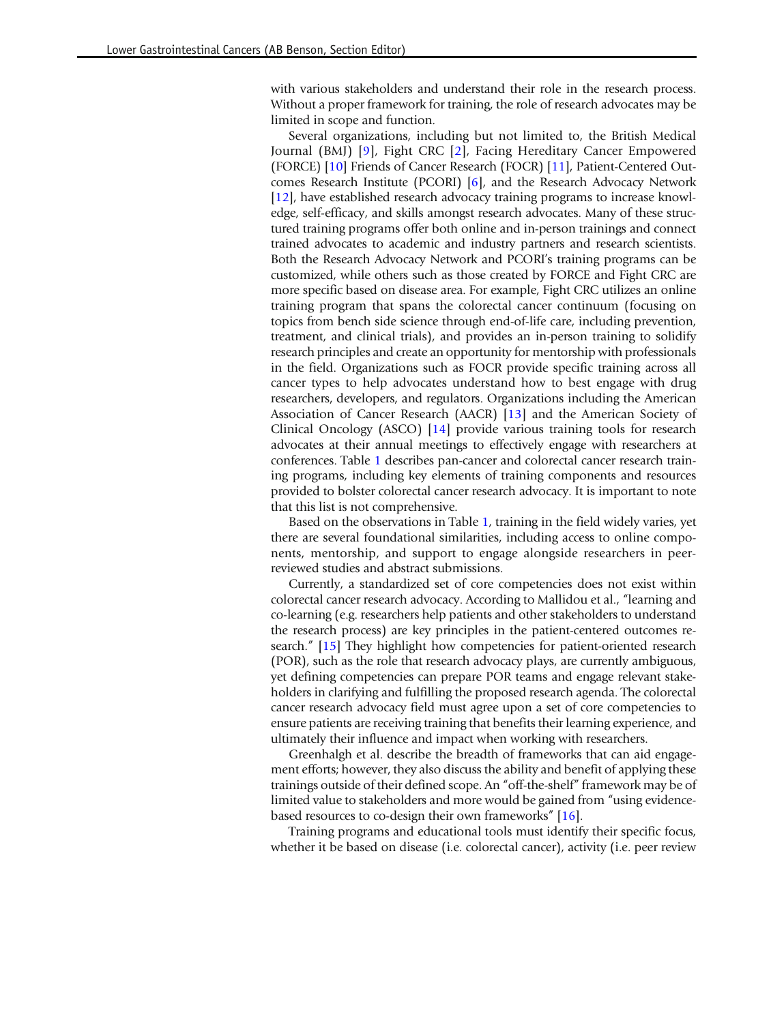with various stakeholders and understand their role in the research process. Without a proper framework for training, the role of research advocates may be limited in scope and function.

Several organizations, including but not limited to, the British Medical Journal (BMJ) [\[9](#page-11-0)], Fight CRC [\[2\]](#page-10-0), Facing Hereditary Cancer Empowered (FORCE) [\[10\]](#page-11-0) Friends of Cancer Research (FOCR) [\[11\]](#page-11-0), Patient-Centered Outcomes Research Institute (PCORI) [\[6\]](#page-11-0), and the Research Advocacy Network [[12](#page-11-0)], have established research advocacy training programs to increase knowledge, self-efficacy, and skills amongst research advocates. Many of these structured training programs offer both online and in-person trainings and connect trained advocates to academic and industry partners and research scientists. Both the Research Advocacy Network and PCORI's training programs can be customized, while others such as those created by FORCE and Fight CRC are more specific based on disease area. For example, Fight CRC utilizes an online training program that spans the colorectal cancer continuum (focusing on topics from bench side science through end-of-life care, including prevention, treatment, and clinical trials), and provides an in-person training to solidify research principles and create an opportunity for mentorship with professionals in the field. Organizations such as FOCR provide specific training across all cancer types to help advocates understand how to best engage with drug researchers, developers, and regulators. Organizations including the American Association of Cancer Research (AACR) [\[13](#page-11-0)] and the American Society of Clinical Oncology (ASCO) [[14\]](#page-11-0) provide various training tools for research advocates at their annual meetings to effectively engage with researchers at conferences. Table [1](#page-4-0) describes pan-cancer and colorectal cancer research training programs, including key elements of training components and resources provided to bolster colorectal cancer research advocacy. It is important to note that this list is not comprehensive.

Based on the observations in Table [1,](#page-4-0) training in the field widely varies, yet there are several foundational similarities, including access to online components, mentorship, and support to engage alongside researchers in peerreviewed studies and abstract submissions.

Currently, a standardized set of core competencies does not exist within colorectal cancer research advocacy. According to Mallidou et al., "learning and co-learning (e.g. researchers help patients and other stakeholders to understand the research process) are key principles in the patient-centered outcomes research." [\[15\]](#page-11-0) They highlight how competencies for patient-oriented research (POR), such as the role that research advocacy plays, are currently ambiguous, yet defining competencies can prepare POR teams and engage relevant stakeholders in clarifying and fulfilling the proposed research agenda. The colorectal cancer research advocacy field must agree upon a set of core competencies to ensure patients are receiving training that benefits their learning experience, and ultimately their influence and impact when working with researchers.

Greenhalgh et al. describe the breadth of frameworks that can aid engagement efforts; however, they also discuss the ability and benefit of applying these trainings outside of their defined scope. An "off-the-shelf" framework may be of limited value to stakeholders and more would be gained from "using evidencebased resources to co-design their own frameworks" [[16\]](#page-11-0).

Training programs and educational tools must identify their specific focus, whether it be based on disease (i.e. colorectal cancer), activity (i.e. peer review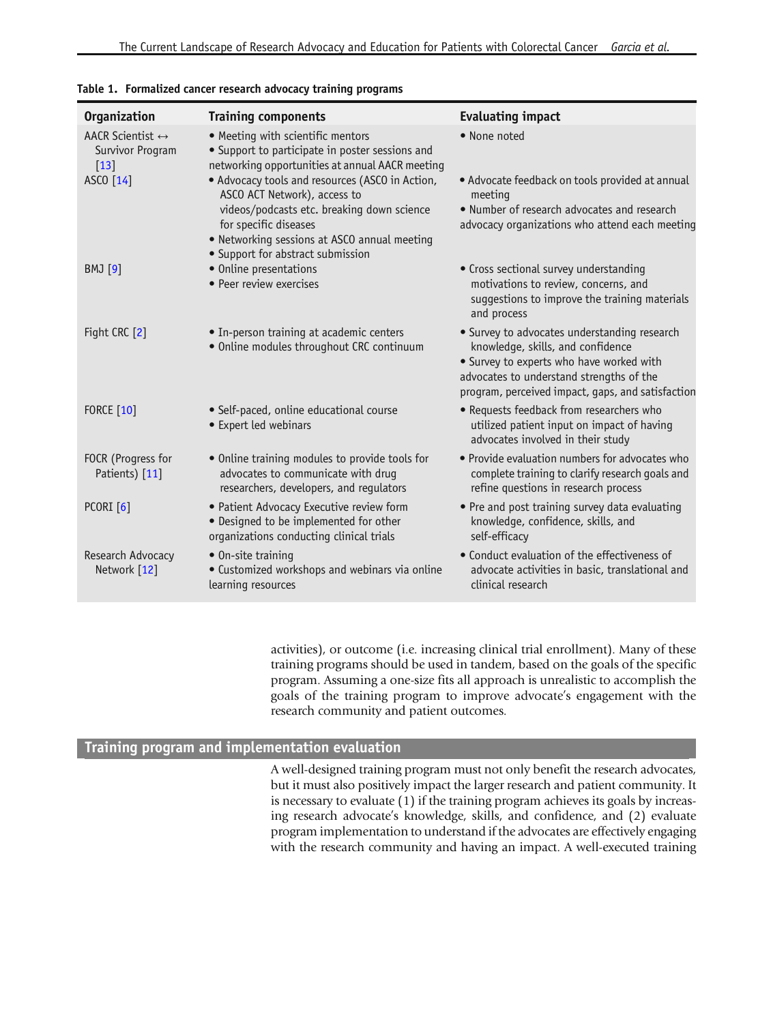| Organization                                                   | <b>Training components</b>                                                                                                              | <b>Evaluating impact</b>                                                                                                                                                                                                       |
|----------------------------------------------------------------|-----------------------------------------------------------------------------------------------------------------------------------------|--------------------------------------------------------------------------------------------------------------------------------------------------------------------------------------------------------------------------------|
| AACR Scientist $\leftrightarrow$<br>Survivor Program<br>$[13]$ | • Meeting with scientific mentors<br>• Support to participate in poster sessions and<br>networking opportunities at annual AACR meeting | • None noted                                                                                                                                                                                                                   |
| ASCO [14]                                                      | • Advocacy tools and resources (ASCO in Action,<br>ASCO ACT Network), access to                                                         | • Advocate feedback on tools provided at annual<br>meeting                                                                                                                                                                     |
|                                                                | videos/podcasts etc. breaking down science<br>for specific diseases                                                                     | • Number of research advocates and research<br>advocacy organizations who attend each meeting                                                                                                                                  |
|                                                                | . Networking sessions at ASCO annual meeting<br>• Support for abstract submission                                                       |                                                                                                                                                                                                                                |
| <b>BMJ</b> [9]                                                 | • Online presentations<br>• Peer review exercises                                                                                       | • Cross sectional survey understanding<br>motivations to review, concerns, and<br>suggestions to improve the training materials<br>and process                                                                                 |
| Fight CRC [2]                                                  | • In-person training at academic centers<br>· Online modules throughout CRC continuum                                                   | • Survey to advocates understanding research<br>knowledge, skills, and confidence<br>• Survey to experts who have worked with<br>advocates to understand strengths of the<br>program, perceived impact, gaps, and satisfaction |
| <b>FORCE</b> [10]                                              | · Self-paced, online educational course<br>• Expert led webinars                                                                        | • Requests feedback from researchers who<br>utilized patient input on impact of having<br>advocates involved in their study                                                                                                    |
| FOCR (Progress for<br>Patients) [11]                           | • Online training modules to provide tools for<br>advocates to communicate with drug<br>researchers, developers, and regulators         | • Provide evaluation numbers for advocates who<br>complete training to clarify research goals and<br>refine questions in research process                                                                                      |
| <b>PCORI</b> [6]                                               | • Patient Advocacy Executive review form<br>• Designed to be implemented for other<br>organizations conducting clinical trials          | • Pre and post training survey data evaluating<br>knowledge, confidence, skills, and<br>self-efficacy                                                                                                                          |
| Research Advocacy<br>Network [12]                              | • On-site training<br>• Customized workshops and webinars via online<br>learning resources                                              | • Conduct evaluation of the effectiveness of<br>advocate activities in basic, translational and<br>clinical research                                                                                                           |

#### <span id="page-4-0"></span>Table 1. Formalized cancer research advocacy training programs

activities), or outcome (i.e. increasing clinical trial enrollment). Many of these training programs should be used in tandem, based on the goals of the specific program. Assuming a one-size fits all approach is unrealistic to accomplish the goals of the training program to improve advocate's engagement with the research community and patient outcomes.

#### Training program and implementation evaluation

A well-designed training program must not only benefit the research advocates, but it must also positively impact the larger research and patient community. It is necessary to evaluate (1) if the training program achieves its goals by increasing research advocate's knowledge, skills, and confidence, and (2) evaluate program implementation to understand if the advocates are effectively engaging with the research community and having an impact. A well-executed training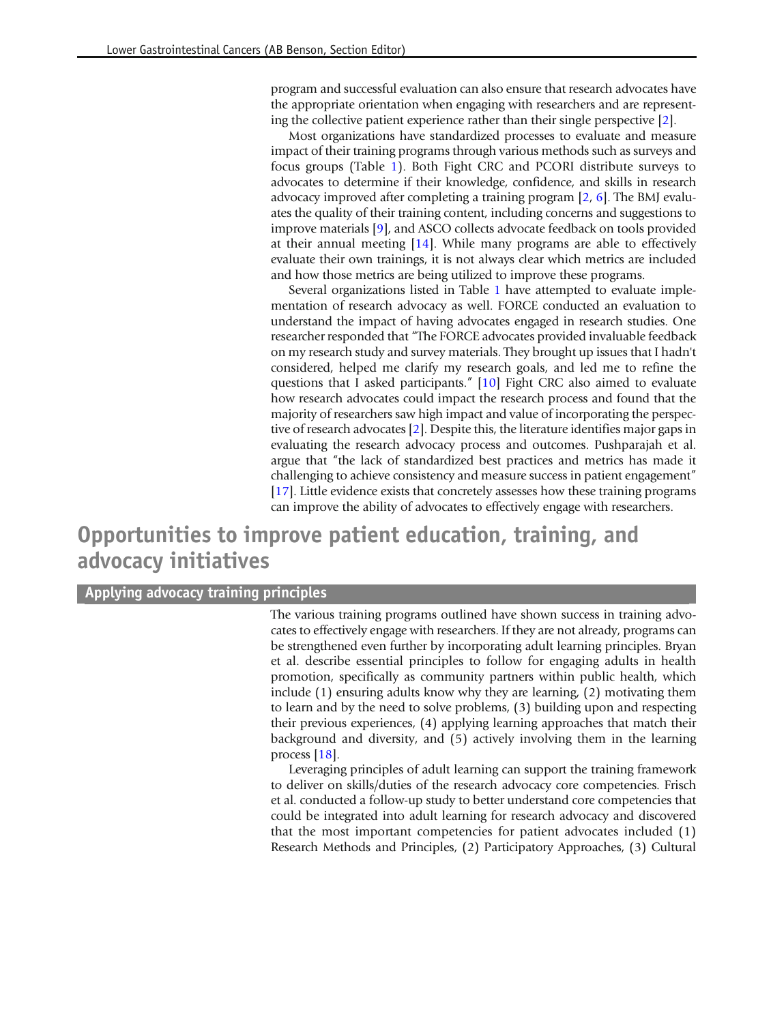program and successful evaluation can also ensure that research advocates have the appropriate orientation when engaging with researchers and are representing the collective patient experience rather than their single perspective [[2](#page-10-0)].

Most organizations have standardized processes to evaluate and measure impact of their training programs through various methods such as surveys and focus groups (Table [1](#page-4-0)). Both Fight CRC and PCORI distribute surveys to advocates to determine if their knowledge, confidence, and skills in research advocacy improved after completing a training program [\[2](#page-10-0), [6\]](#page-11-0). The BMJ evaluates the quality of their training content, including concerns and suggestions to improve materials [\[9](#page-11-0)], and ASCO collects advocate feedback on tools provided at their annual meeting [[14\]](#page-11-0). While many programs are able to effectively evaluate their own trainings, it is not always clear which metrics are included and how those metrics are being utilized to improve these programs.

Several organizations listed in Table [1](#page-4-0) have attempted to evaluate implementation of research advocacy as well. FORCE conducted an evaluation to understand the impact of having advocates engaged in research studies. One researcher responded that "The FORCE advocates provided invaluable feedback on my research study and survey materials. They brought up issues that I hadn't considered, helped me clarify my research goals, and led me to refine the questions that I asked participants." [\[10](#page-11-0)] Fight CRC also aimed to evaluate how research advocates could impact the research process and found that the majority of researchers saw high impact and value of incorporating the perspective of research advocates [\[2](#page-10-0)]. Despite this, the literature identifies major gaps in evaluating the research advocacy process and outcomes. Pushparajah et al. argue that "the lack of standardized best practices and metrics has made it challenging to achieve consistency and measure success in patient engagement" [[17](#page-11-0)]. Little evidence exists that concretely assesses how these training programs can improve the ability of advocates to effectively engage with researchers.

# Opportunities to improve patient education, training, and advocacy initiatives

#### Applying advocacy training principles

The various training programs outlined have shown success in training advocates to effectively engage with researchers. If they are not already, programs can be strengthened even further by incorporating adult learning principles. Bryan et al. describe essential principles to follow for engaging adults in health promotion, specifically as community partners within public health, which include (1) ensuring adults know why they are learning, (2) motivating them to learn and by the need to solve problems, (3) building upon and respecting their previous experiences, (4) applying learning approaches that match their background and diversity, and (5) actively involving them in the learning process [[18\]](#page-11-0).

Leveraging principles of adult learning can support the training framework to deliver on skills/duties of the research advocacy core competencies. Frisch et al. conducted a follow-up study to better understand core competencies that could be integrated into adult learning for research advocacy and discovered that the most important competencies for patient advocates included (1) Research Methods and Principles, (2) Participatory Approaches, (3) Cultural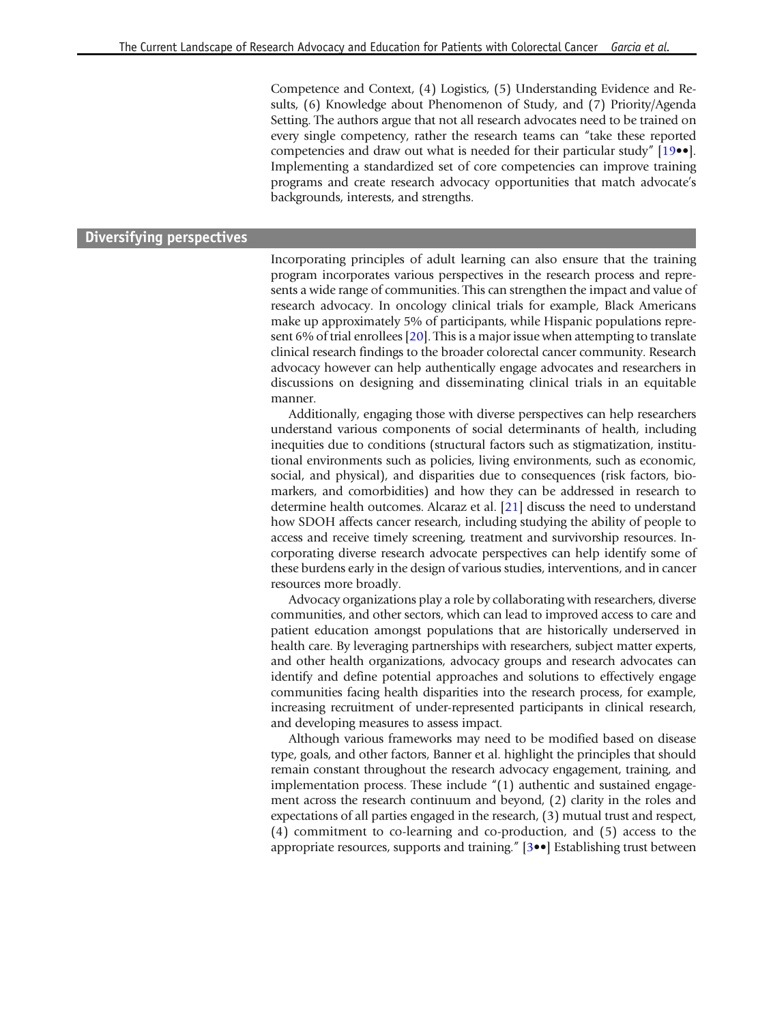Competence and Context, (4) Logistics, (5) Understanding Evidence and Results, (6) Knowledge about Phenomenon of Study, and (7) Priority/Agenda Setting. The authors argue that not all research advocates need to be trained on every single competency, rather the research teams can "take these reported competencies and draw out what is needed for their particular study" [[19](#page-11-0)••]. Implementing a standardized set of core competencies can improve training programs and create research advocacy opportunities that match advocate's backgrounds, interests, and strengths.

#### Diversifying perspectives

Incorporating principles of adult learning can also ensure that the training program incorporates various perspectives in the research process and represents a wide range of communities. This can strengthen the impact and value of research advocacy. In oncology clinical trials for example, Black Americans make up approximately 5% of participants, while Hispanic populations represent 6% of trial enrollees [\[20](#page-11-0)]. This is a major issue when attempting to translate clinical research findings to the broader colorectal cancer community. Research advocacy however can help authentically engage advocates and researchers in discussions on designing and disseminating clinical trials in an equitable manner.

Additionally, engaging those with diverse perspectives can help researchers understand various components of social determinants of health, including inequities due to conditions (structural factors such as stigmatization, institutional environments such as policies, living environments, such as economic, social, and physical), and disparities due to consequences (risk factors, biomarkers, and comorbidities) and how they can be addressed in research to determine health outcomes. Alcaraz et al. [\[21\]](#page-11-0) discuss the need to understand how SDOH affects cancer research, including studying the ability of people to access and receive timely screening, treatment and survivorship resources. Incorporating diverse research advocate perspectives can help identify some of these burdens early in the design of various studies, interventions, and in cancer resources more broadly.

Advocacy organizations play a role by collaborating with researchers, diverse communities, and other sectors, which can lead to improved access to care and patient education amongst populations that are historically underserved in health care. By leveraging partnerships with researchers, subject matter experts, and other health organizations, advocacy groups and research advocates can identify and define potential approaches and solutions to effectively engage communities facing health disparities into the research process, for example, increasing recruitment of under-represented participants in clinical research, and developing measures to assess impact.

Although various frameworks may need to be modified based on disease type, goals, and other factors, Banner et al. highlight the principles that should remain constant throughout the research advocacy engagement, training, and implementation process. These include "(1) authentic and sustained engagement across the research continuum and beyond, (2) clarity in the roles and expectations of all parties engaged in the research, (3) mutual trust and respect, (4) commitment to co-learning and co-production, and (5) access to the appropriate resources, supports and training." [\[3](#page-10-0)••] Establishing trust between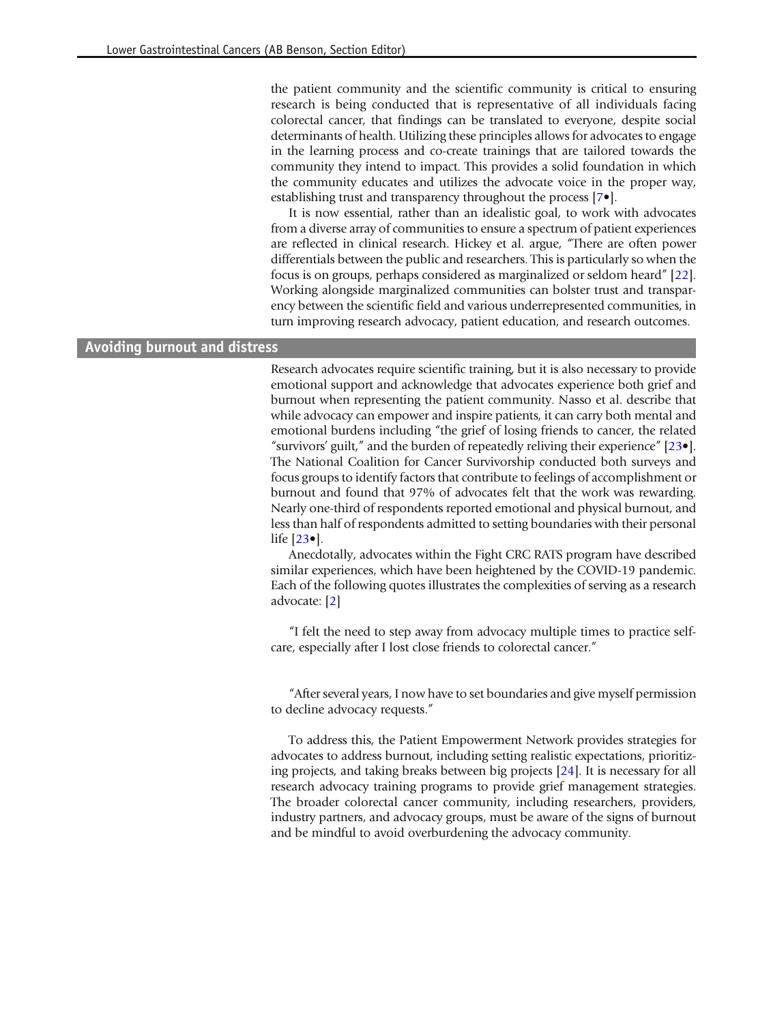the patient community and the scientific community is critical to ensuring research is being conducted that is representative of all individuals facing colorectal cancer, that findings can be translated to everyone, despite social determinants of health. Utilizing these principles allows for advocates to engage in the learning process and co-create trainings that are tailored towards the community they intend to impact. This provides a solid foundation in which the community educates and utilizes the advocate voice in the proper way, establishing trust and transparency throughout the process [[7](#page-11-0)•].

It is now essential, rather than an idealistic goal, to work with advocates from a diverse array of communities to ensure a spectrum of patient experiences are reflected in clinical research. Hickey et al. argue, "There are often power differentials between the public and researchers. This is particularly so when the focus is on groups, perhaps considered as marginalized or seldom heard" [\[22](#page-11-0)]. Working alongside marginalized communities can bolster trust and transparency between the scientific field and various underrepresented communities, in turn improving research advocacy, patient education, and research outcomes.

#### Avoiding burnout and distress

Research advocates require scientific training, but it is also necessary to provide emotional support and acknowledge that advocates experience both grief and burnout when representing the patient community. Nasso et al. describe that while advocacy can empower and inspire patients, it can carry both mental and emotional burdens including "the grief of losing friends to cancer, the related "survivors' guilt," and the burden of repeatedly reliving their experience" [\[23](#page-11-0)•]. The National Coalition for Cancer Survivorship conducted both surveys and focus groups to identify factors that contribute to feelings of accomplishment or burnout and found that 97% of advocates felt that the work was rewarding. Nearly one-third of respondents reported emotional and physical burnout, and less than half of respondents admitted to setting boundaries with their personal life [\[23](#page-11-0)•].

Anecdotally, advocates within the Fight CRC RATS program have described similar experiences, which have been heightened by the COVID-19 pandemic. Each of the following quotes illustrates the complexities of serving as a research advocate: [\[2\]](#page-10-0)

"I felt the need to step away from advocacy multiple times to practice selfcare, especially after I lost close friends to colorectal cancer."

"After several years, I now have to set boundaries and give myself permission to decline advocacy requests."

To address this, the Patient Empowerment Network provides strategies for advocates to address burnout, including setting realistic expectations, prioritizing projects, and taking breaks between big projects [\[24\]](#page-11-0). It is necessary for all research advocacy training programs to provide grief management strategies. The broader colorectal cancer community, including researchers, providers, industry partners, and advocacy groups, must be aware of the signs of burnout and be mindful to avoid overburdening the advocacy community.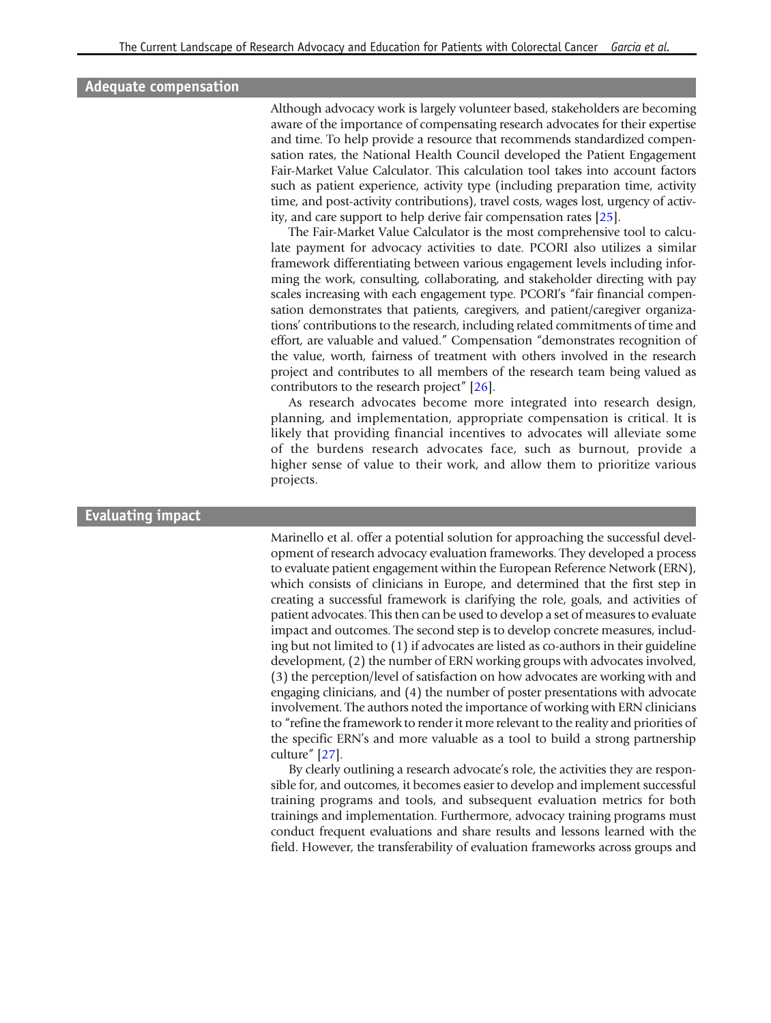#### Adequate compensation

Although advocacy work is largely volunteer based, stakeholders are becoming aware of the importance of compensating research advocates for their expertise and time. To help provide a resource that recommends standardized compensation rates, the National Health Council developed the Patient Engagement Fair-Market Value Calculator. This calculation tool takes into account factors such as patient experience, activity type (including preparation time, activity time, and post-activity contributions), travel costs, wages lost, urgency of activity, and care support to help derive fair compensation rates [\[25\]](#page-11-0).

The Fair-Market Value Calculator is the most comprehensive tool to calculate payment for advocacy activities to date. PCORI also utilizes a similar framework differentiating between various engagement levels including informing the work, consulting, collaborating, and stakeholder directing with pay scales increasing with each engagement type. PCORI's "fair financial compensation demonstrates that patients, caregivers, and patient/caregiver organizations' contributions to the research, including related commitments of time and effort, are valuable and valued." Compensation "demonstrates recognition of the value, worth, fairness of treatment with others involved in the research project and contributes to all members of the research team being valued as contributors to the research project" [\[26](#page-11-0)].

As research advocates become more integrated into research design, planning, and implementation, appropriate compensation is critical. It is likely that providing financial incentives to advocates will alleviate some of the burdens research advocates face, such as burnout, provide a higher sense of value to their work, and allow them to prioritize various projects.

#### Evaluating impact

Marinello et al. offer a potential solution for approaching the successful development of research advocacy evaluation frameworks. They developed a process to evaluate patient engagement within the European Reference Network (ERN), which consists of clinicians in Europe, and determined that the first step in creating a successful framework is clarifying the role, goals, and activities of patient advocates. This then can be used to develop a set of measures to evaluate impact and outcomes. The second step is to develop concrete measures, including but not limited to (1) if advocates are listed as co-authors in their guideline development, (2) the number of ERN working groups with advocates involved, (3) the perception/level of satisfaction on how advocates are working with and engaging clinicians, and (4) the number of poster presentations with advocate involvement. The authors noted the importance of working with ERN clinicians to "refine the framework to render it more relevant to the reality and priorities of the specific ERN's and more valuable as a tool to build a strong partnership culture" [\[27](#page-11-0)].

By clearly outlining a research advocate's role, the activities they are responsible for, and outcomes, it becomes easier to develop and implement successful training programs and tools, and subsequent evaluation metrics for both trainings and implementation. Furthermore, advocacy training programs must conduct frequent evaluations and share results and lessons learned with the field. However, the transferability of evaluation frameworks across groups and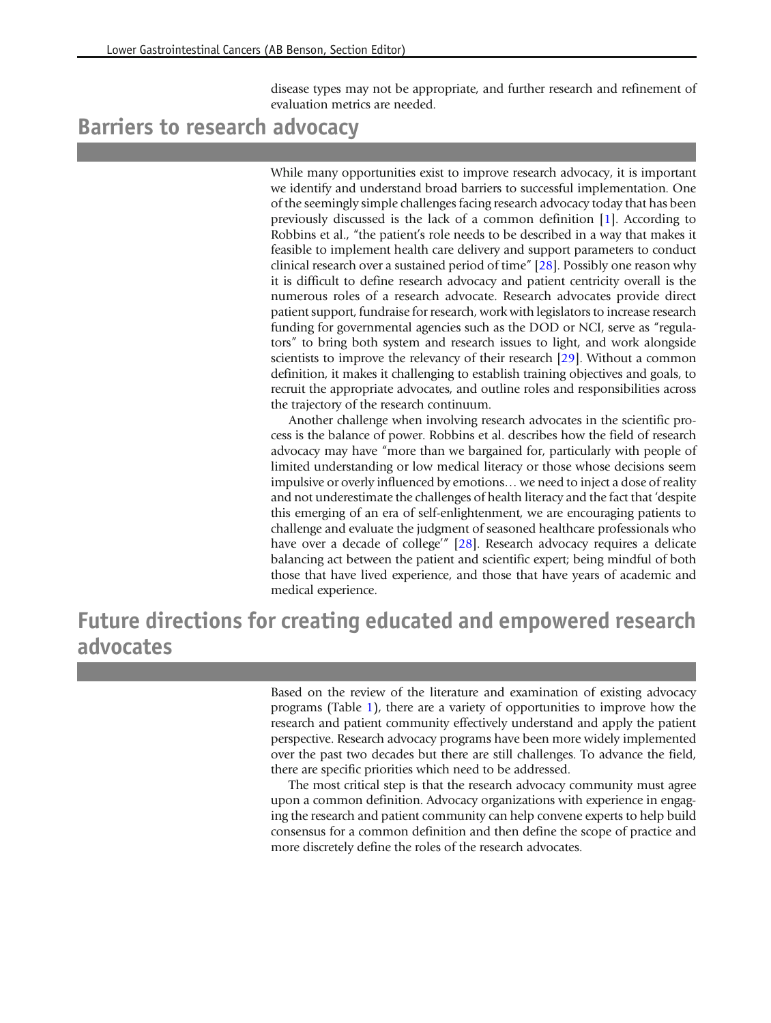disease types may not be appropriate, and further research and refinement of evaluation metrics are needed.

# Barriers to research advocacy

While many opportunities exist to improve research advocacy, it is important we identify and understand broad barriers to successful implementation. One of the seemingly simple challenges facing research advocacy today that has been previously discussed is the lack of a common definition [[1](#page-10-0)]. According to Robbins et al., "the patient's role needs to be described in a way that makes it feasible to implement health care delivery and support parameters to conduct clinical research over a sustained period of time" [\[28](#page-11-0)]. Possibly one reason why it is difficult to define research advocacy and patient centricity overall is the numerous roles of a research advocate. Research advocates provide direct patient support, fundraise for research, work with legislators to increase research funding for governmental agencies such as the DOD or NCI, serve as "regulators" to bring both system and research issues to light, and work alongside scientists to improve the relevancy of their research [[29](#page-12-0)]. Without a common definition, it makes it challenging to establish training objectives and goals, to recruit the appropriate advocates, and outline roles and responsibilities across the trajectory of the research continuum.

Another challenge when involving research advocates in the scientific process is the balance of power. Robbins et al. describes how the field of research advocacy may have "more than we bargained for, particularly with people of limited understanding or low medical literacy or those whose decisions seem impulsive or overly influenced by emotions… we need to inject a dose of reality and not underestimate the challenges of health literacy and the fact that 'despite this emerging of an era of self-enlightenment, we are encouraging patients to challenge and evaluate the judgment of seasoned healthcare professionals who have over a decade of college'" [\[28](#page-11-0)]. Research advocacy requires a delicate balancing act between the patient and scientific expert; being mindful of both those that have lived experience, and those that have years of academic and medical experience.

Future directions for creating educated and empowered research advocates

> Based on the review of the literature and examination of existing advocacy programs (Table [1](#page-4-0)), there are a variety of opportunities to improve how the research and patient community effectively understand and apply the patient perspective. Research advocacy programs have been more widely implemented over the past two decades but there are still challenges. To advance the field, there are specific priorities which need to be addressed.

> The most critical step is that the research advocacy community must agree upon a common definition. Advocacy organizations with experience in engaging the research and patient community can help convene experts to help build consensus for a common definition and then define the scope of practice and more discretely define the roles of the research advocates.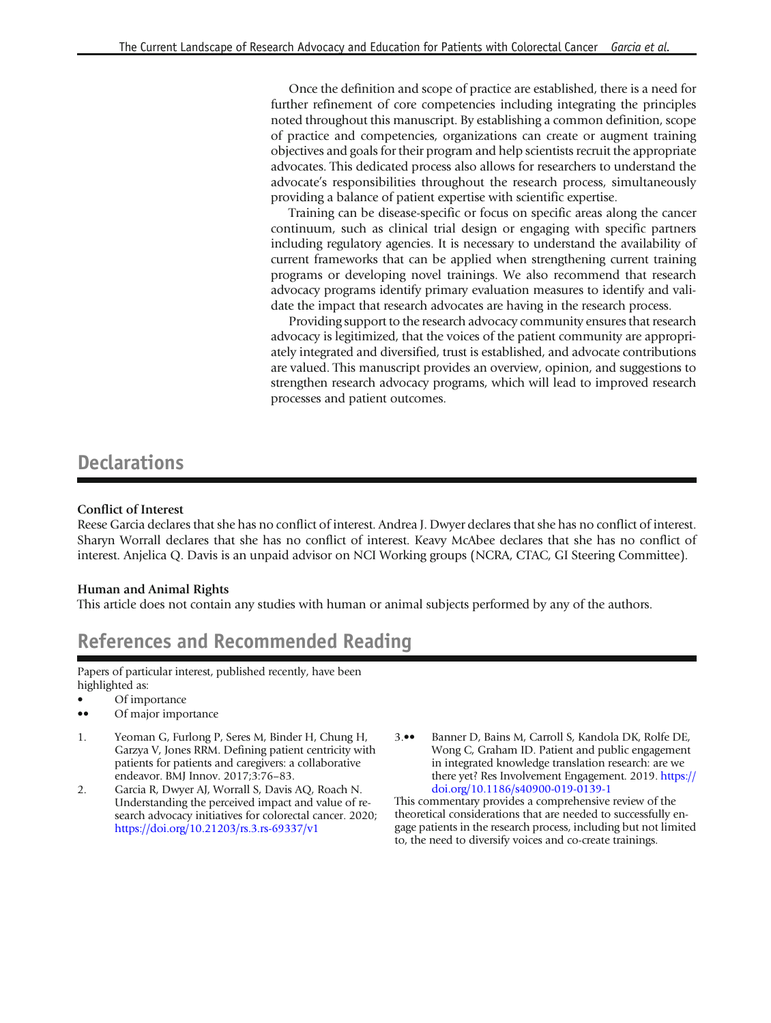<span id="page-10-0"></span>Once the definition and scope of practice are established, there is a need for further refinement of core competencies including integrating the principles noted throughout this manuscript. By establishing a common definition, scope of practice and competencies, organizations can create or augment training objectives and goals for their program and help scientists recruit the appropriate advocates. This dedicated process also allows for researchers to understand the advocate's responsibilities throughout the research process, simultaneously providing a balance of patient expertise with scientific expertise.

Training can be disease-specific or focus on specific areas along the cancer continuum, such as clinical trial design or engaging with specific partners including regulatory agencies. It is necessary to understand the availability of current frameworks that can be applied when strengthening current training programs or developing novel trainings. We also recommend that research advocacy programs identify primary evaluation measures to identify and validate the impact that research advocates are having in the research process.

Providing support to the research advocacy community ensures that research advocacy is legitimized, that the voices of the patient community are appropriately integrated and diversified, trust is established, and advocate contributions are valued. This manuscript provides an overview, opinion, and suggestions to strengthen research advocacy programs, which will lead to improved research processes and patient outcomes.

### **Declarations**

#### Conflict of Interest

Reese Garcia declares that she has no conflict of interest. Andrea J. Dwyer declares that she has no conflict of interest. Sharyn Worrall declares that she has no conflict of interest. Keavy McAbee declares that she has no conflict of interest. Anjelica Q. Davis is an unpaid advisor on NCI Working groups (NCRA, CTAC, GI Steering Committee).

#### Human and Animal Rights

This article does not contain any studies with human or animal subjects performed by any of the authors.

## References and Recommended Reading

Papers of particular interest, published recently, have been highlighted as:

- Of importance
- •• Of major importance
- 1. Yeoman G, Furlong P, Seres M, Binder H, Chung H, Garzya V, Jones RRM. Defining patient centricity with patients for patients and caregivers: a collaborative endeavor. BMJ Innov. 2017;3:76–83.
- 2. Garcia R, Dwyer AJ, Worrall S, Davis AQ, Roach N. Understanding the perceived impact and value of research advocacy initiatives for colorectal cancer. 2020; [https://doi.org/10.21203/rs.3.rs-69337/v1](http://dx.doi.org/10.21203/rs.3.rs-69337/v1)
- 3.•• Banner D, Bains M, Carroll S, Kandola DK, Rolfe DE, Wong C, Graham ID. Patient and public engagement in integrated knowledge translation research: are we there yet? Res Involvement Engagement. 2019. [https://](http://dx.doi.org/10.1186/s40900-019-0139-1) [doi.org/10.1186/s40900-019-0139-1](http://dx.doi.org/10.1186/s40900-019-0139-1)

This commentary provides a comprehensive review of the theoretical considerations that are needed to successfully engage patients in the research process, including but not limited to, the need to diversify voices and co-create trainings.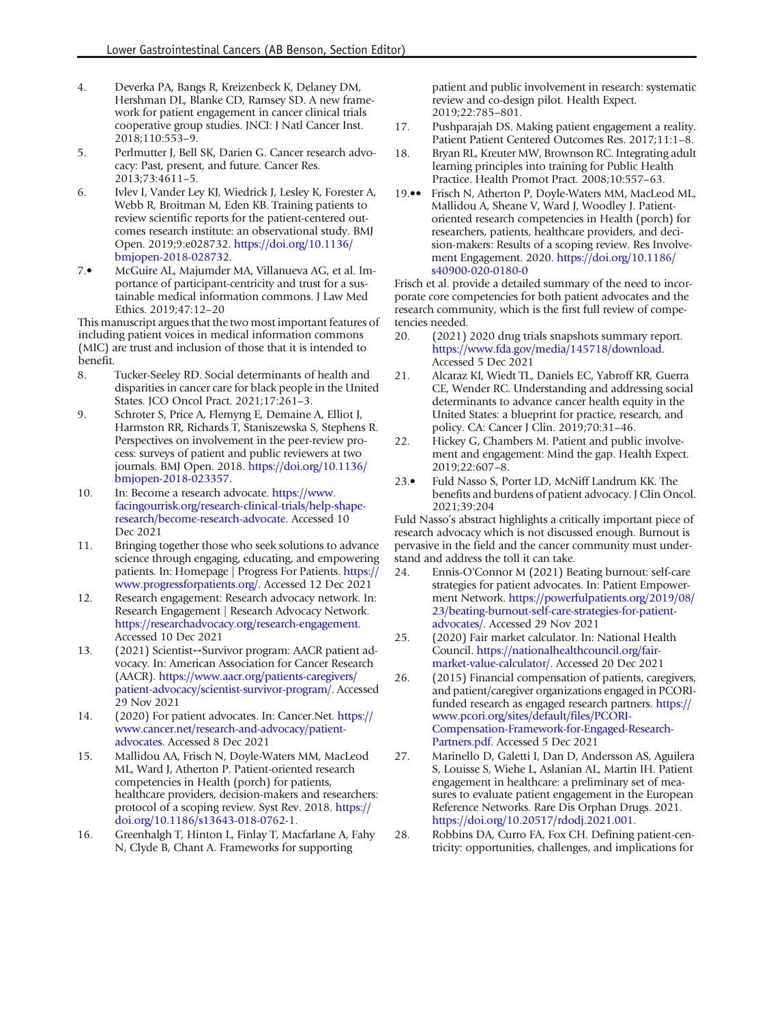- <span id="page-11-0"></span>4. Deverka PA, Bangs R, Kreizenbeck K, Delaney DM, Hershman DL, Blanke CD, Ramsey SD. A new framework for patient engagement in cancer clinical trials cooperative group studies. JNCI: J Natl Cancer Inst. 2018;110:553–9.
- 5. Perlmutter J, Bell SK, Darien G. Cancer research advocacy: Past, present, and future. Cancer Res. 2013;73:4611–5.
- 6. Ivlev I, Vander Ley KJ, Wiedrick J, Lesley K, Forester A, Webb R, Broitman M, Eden KB. Training patients to review scientific reports for the patient-centered outcomes research institute: an observational study. BMJ Open. 2019;9:e028732. [https://doi.org/10.1136/](http://dx.doi.org/10.1136/bmjopen-2018-028732) [bmjopen-2018-028732.](http://dx.doi.org/10.1136/bmjopen-2018-028732)
- 7.• McGuire AL, Majumder MA, Villanueva AG, et al. Importance of participant-centricity and trust for a sustainable medical information commons. J Law Med Ethics. 2019;47:12–20

This manuscript argues that the two most important features of including patient voices in medical information commons (MIC) are trust and inclusion of those that it is intended to benefit.

- 8. Tucker-Seeley RD. Social determinants of health and disparities in cancer care for black people in the United States. JCO Oncol Pract. 2021;17:261–3.
- 9. Schroter S, Price A, Flemyng E, Demaine A, Elliot J, Harmston RR, Richards T, Staniszewska S, Stephens R. Perspectives on involvement in the peer-review process: surveys of patient and public reviewers at two journals. BMJ Open. 2018. [https://doi.org/10.1136/](http://dx.doi.org/10.1136/bmjopen-2018-023357) [bmjopen-2018-023357.](http://dx.doi.org/10.1136/bmjopen-2018-023357)
- 10. In: Become a research advocate. [https://www.](https://www.facingourrisk.org/research-clinical-trials/help-shape-research/become-research-advocate) [facingourrisk.org/research-clinical-trials/help-shape](https://www.facingourrisk.org/research-clinical-trials/help-shape-research/become-research-advocate)[research/become-research-advocate.](https://www.facingourrisk.org/research-clinical-trials/help-shape-research/become-research-advocate) Accessed 10 Dec 2021
- 11. Bringing together those who seek solutions to advance science through engaging, educating, and empowering patients. In: Homepage | Progress For Patients. [https://](https://www.progressforpatients.org/) [www.progressforpatients.org/](https://www.progressforpatients.org/). Accessed 12 Dec 2021
- 12. Research engagement: Research advocacy network. In: Research Engagement | Research Advocacy Network. [https://researchadvocacy.org/research-engagement.](https://researchadvocacy.org/research-engagement) Accessed 10 Dec 2021
- 13. (2021) Scientist↔Survivor program: AACR patient advocacy. In: American Association for Cancer Research (AACR). [https://www.aacr.org/patients-caregivers/](https://www.aacr.org/patients-caregivers/patient-advocacy/scientist-survivor-program/) [patient-advocacy/scientist-survivor-program/](https://www.aacr.org/patients-caregivers/patient-advocacy/scientist-survivor-program/). Accessed 29 Nov 2021
- 14. (2020) For patient advocates. In: Cancer.Net. [https://](https://www.cancer.net/research-and-advocacy/patient-advocates) [www.cancer.net/research-and-advocacy/patient](https://www.cancer.net/research-and-advocacy/patient-advocates)[advocates](https://www.cancer.net/research-and-advocacy/patient-advocates). Accessed 8 Dec 2021
- 15. Mallidou AA, Frisch N, Doyle-Waters MM, MacLeod ML, Ward J, Atherton P. Patient-oriented research competencies in Health (porch) for patients, healthcare providers, decision-makers and researchers: protocol of a scoping review. Syst Rev. 2018. [https://](http://dx.doi.org/10.1186/s13643-018-0762-1) [doi.org/10.1186/s13643-018-0762-1.](http://dx.doi.org/10.1186/s13643-018-0762-1)
- 16. Greenhalgh T, Hinton L, Finlay T, Macfarlane A, Fahy N, Clyde B, Chant A. Frameworks for supporting

patient and public involvement in research: systematic review and co-design pilot. Health Expect. 2019;22:785–801.

- 17. Pushparajah DS. Making patient engagement a reality. Patient Patient Centered Outcomes Res. 2017;11:1–8.
- 18. Bryan RL, Kreuter MW, Brownson RC. Integrating adult learning principles into training for Public Health Practice. Health Promot Pract. 2008;10:557–63.
- 19.•• Frisch N, Atherton P, Doyle-Waters MM, MacLeod ML, Mallidou A, Sheane V, Ward J, Woodley J. Patientoriented research competencies in Health (porch) for researchers, patients, healthcare providers, and decision-makers: Results of a scoping review. Res Involvement Engagement. 2020. [https://doi.org/10.1186/](http://dx.doi.org/10.1186/s40900-020-0180-0) [s40900-020-0180-0](http://dx.doi.org/10.1186/s40900-020-0180-0)

Frisch et al. provide a detailed summary of the need to incorporate core competencies for both patient advocates and the research community, which is the first full review of competencies needed.

- 20. (2021) 2020 drug trials snapshots summary report. <https://www.fda.gov/media/145718/download>. Accessed 5 Dec 2021
- 21. Alcaraz KI, Wiedt TL, Daniels EC, Yabroff KR, Guerra CE, Wender RC. Understanding and addressing social determinants to advance cancer health equity in the United States: a blueprint for practice, research, and policy. CA: Cancer J Clin. 2019;70:31–46.
- 22. Hickey G, Chambers M. Patient and public involvement and engagement: Mind the gap. Health Expect. 2019;22:607–8.
- 23.• Fuld Nasso S, Porter LD, McNiff Landrum KK. The benefits and burdens of patient advocacy. J Clin Oncol. 2021;39:204

Fuld Nasso's abstract highlights a critically important piece of research advocacy which is not discussed enough. Burnout is pervasive in the field and the cancer community must understand and address the toll it can take.

- 24. Ennis-O'Connor M (2021) Beating burnout: self-care strategies for patient advocates. In: Patient Empowerment Network. [https://powerfulpatients.org/2019/08/](https://powerfulpatients.org/2019/08/23/beating-burnout-self-care-strategies-for-patient-advocates/) [23/beating-burnout-self-care-strategies-for-patient](https://powerfulpatients.org/2019/08/23/beating-burnout-self-care-strategies-for-patient-advocates/)[advocates/](https://powerfulpatients.org/2019/08/23/beating-burnout-self-care-strategies-for-patient-advocates/). Accessed 29 Nov 2021
- 25. (2020) Fair market calculator. In: National Health Council. [https://nationalhealthcouncil.org/fair](https://nationalhealthcouncil.org/fair-market-value-calculator/)[market-value-calculator/](https://nationalhealthcouncil.org/fair-market-value-calculator/). Accessed 20 Dec 2021
- 26. (2015) Financial compensation of patients, caregivers, and patient/caregiver organizations engaged in PCORIfunded research as engaged research partners. [https://](https://www.pcori.org/sites/default/files/PCORI-Compensation-Framework-for-Engaged-Research-Partners.pdf) [www.pcori.org/sites/default/files/PCORI-](https://www.pcori.org/sites/default/files/PCORI-Compensation-Framework-for-Engaged-Research-Partners.pdf)[Compensation-Framework-for-Engaged-Research-](https://www.pcori.org/sites/default/files/PCORI-Compensation-Framework-for-Engaged-Research-Partners.pdf)[Partners.pdf](https://www.pcori.org/sites/default/files/PCORI-Compensation-Framework-for-Engaged-Research-Partners.pdf). Accessed 5 Dec 2021
- 27. Marinello D, Galetti I, Dan D, Andersson AS, Aguilera S, Louisse S, Wiehe L, Aslanian AL, Martin IH. Patient engagement in healthcare: a preliminary set of measures to evaluate patient engagement in the European Reference Networks. Rare Dis Orphan Drugs. 2021. [https://doi.org/10.20517/rdodj.2021.001](http://dx.doi.org/10.20517/rdodj.2021.001).
- 28. Robbins DA, Curro FA, Fox CH. Defining patient-centricity: opportunities, challenges, and implications for